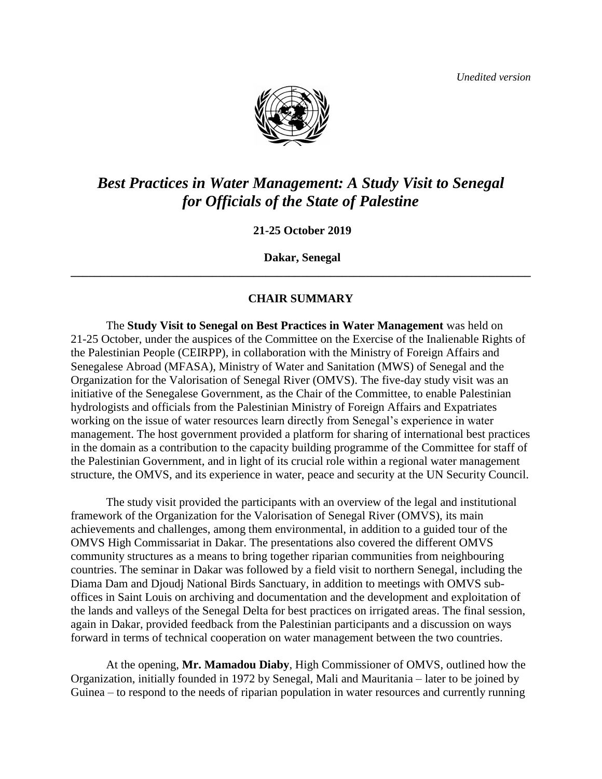*Unedited version* 



## *Best Practices in Water Management: A Study Visit to Senegal for Officials of the State of Palestine*

**21-25 October 2019**

**Dakar, Senegal \_\_\_\_\_\_\_\_\_\_\_\_\_\_\_\_\_\_\_\_\_\_\_\_\_\_\_\_\_\_\_\_\_\_\_\_\_\_\_\_\_\_\_\_\_\_\_\_\_\_\_\_\_\_\_\_\_\_\_\_\_\_\_\_\_\_\_\_\_\_\_\_\_\_\_\_\_\_**

## **CHAIR SUMMARY**

The **Study Visit to Senegal on Best Practices in Water Management** was held on 21-25 October, under the auspices of the Committee on the Exercise of the Inalienable Rights of the Palestinian People (CEIRPP), in collaboration with the Ministry of Foreign Affairs and Senegalese Abroad (MFASA), Ministry of Water and Sanitation (MWS) of Senegal and the Organization for the Valorisation of Senegal River (OMVS). The five-day study visit was an initiative of the Senegalese Government, as the Chair of the Committee, to enable Palestinian hydrologists and officials from the Palestinian Ministry of Foreign Affairs and Expatriates working on the issue of water resources learn directly from Senegal's experience in water management. The host government provided a platform for sharing of international best practices in the domain as a contribution to the capacity building programme of the Committee for staff of the Palestinian Government, and in light of its crucial role within a regional water management structure, the OMVS, and its experience in water, peace and security at the UN Security Council.

The study visit provided the participants with an overview of the legal and institutional framework of the Organization for the Valorisation of Senegal River (OMVS), its main achievements and challenges, among them environmental, in addition to a guided tour of the OMVS High Commissariat in Dakar. The presentations also covered the different OMVS community structures as a means to bring together riparian communities from neighbouring countries. The seminar in Dakar was followed by a field visit to northern Senegal, including the Diama Dam and Djoudj National Birds Sanctuary, in addition to meetings with OMVS suboffices in Saint Louis on archiving and documentation and the development and exploitation of the lands and valleys of the Senegal Delta for best practices on irrigated areas. The final session, again in Dakar, provided feedback from the Palestinian participants and a discussion on ways forward in terms of technical cooperation on water management between the two countries.

At the opening, **Mr. Mamadou Diaby**, High Commissioner of OMVS, outlined how the Organization, initially founded in 1972 by Senegal, Mali and Mauritania – later to be joined by Guinea – to respond to the needs of riparian population in water resources and currently running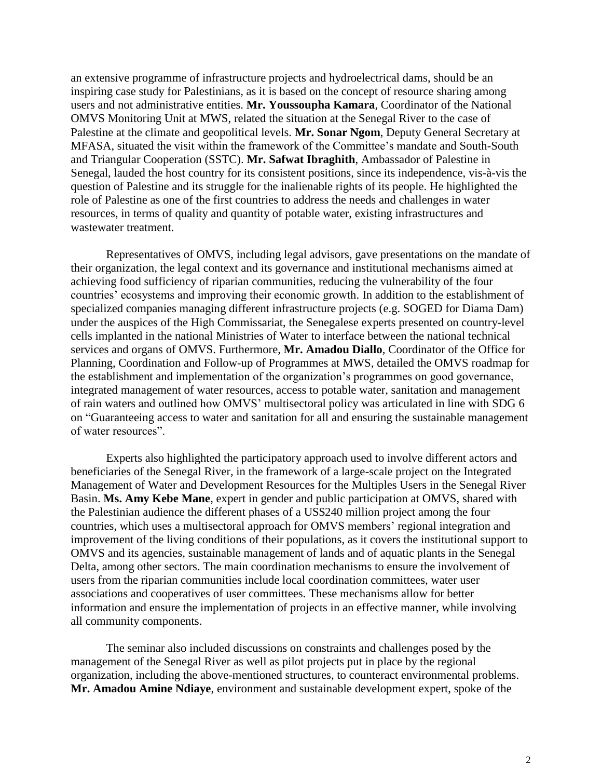an extensive programme of infrastructure projects and hydroelectrical dams, should be an inspiring case study for Palestinians, as it is based on the concept of resource sharing among users and not administrative entities. **Mr. Youssoupha Kamara**, Coordinator of the National OMVS Monitoring Unit at MWS, related the situation at the Senegal River to the case of Palestine at the climate and geopolitical levels. **Mr. Sonar Ngom**, Deputy General Secretary at MFASA, situated the visit within the framework of the Committee's mandate and South-South and Triangular Cooperation (SSTC). **Mr. Safwat Ibraghith**, Ambassador of Palestine in Senegal, lauded the host country for its consistent positions, since its independence, vis-à-vis the question of Palestine and its struggle for the inalienable rights of its people. He highlighted the role of Palestine as one of the first countries to address the needs and challenges in water resources, in terms of quality and quantity of potable water, existing infrastructures and wastewater treatment.

Representatives of OMVS, including legal advisors, gave presentations on the mandate of their organization, the legal context and its governance and institutional mechanisms aimed at achieving food sufficiency of riparian communities, reducing the vulnerability of the four countries' ecosystems and improving their economic growth. In addition to the establishment of specialized companies managing different infrastructure projects (e.g. SOGED for Diama Dam) under the auspices of the High Commissariat, the Senegalese experts presented on country-level cells implanted in the national Ministries of Water to interface between the national technical services and organs of OMVS. Furthermore, **Mr. Amadou Diallo**, Coordinator of the Office for Planning, Coordination and Follow-up of Programmes at MWS, detailed the OMVS roadmap for the establishment and implementation of the organization's programmes on good governance, integrated management of water resources, access to potable water, sanitation and management of rain waters and outlined how OMVS' multisectoral policy was articulated in line with SDG 6 on "Guaranteeing access to water and sanitation for all and ensuring the sustainable management of water resources".

Experts also highlighted the participatory approach used to involve different actors and beneficiaries of the Senegal River, in the framework of a large-scale project on the Integrated Management of Water and Development Resources for the Multiples Users in the Senegal River Basin. **Ms. Amy Kebe Mane**, expert in gender and public participation at OMVS, shared with the Palestinian audience the different phases of a US\$240 million project among the four countries, which uses a multisectoral approach for OMVS members' regional integration and improvement of the living conditions of their populations, as it covers the institutional support to OMVS and its agencies, sustainable management of lands and of aquatic plants in the Senegal Delta, among other sectors. The main coordination mechanisms to ensure the involvement of users from the riparian communities include local coordination committees, water user associations and cooperatives of user committees. These mechanisms allow for better information and ensure the implementation of projects in an effective manner, while involving all community components.

The seminar also included discussions on constraints and challenges posed by the management of the Senegal River as well as pilot projects put in place by the regional organization, including the above-mentioned structures, to counteract environmental problems. **Mr. Amadou Amine Ndiaye**, environment and sustainable development expert, spoke of the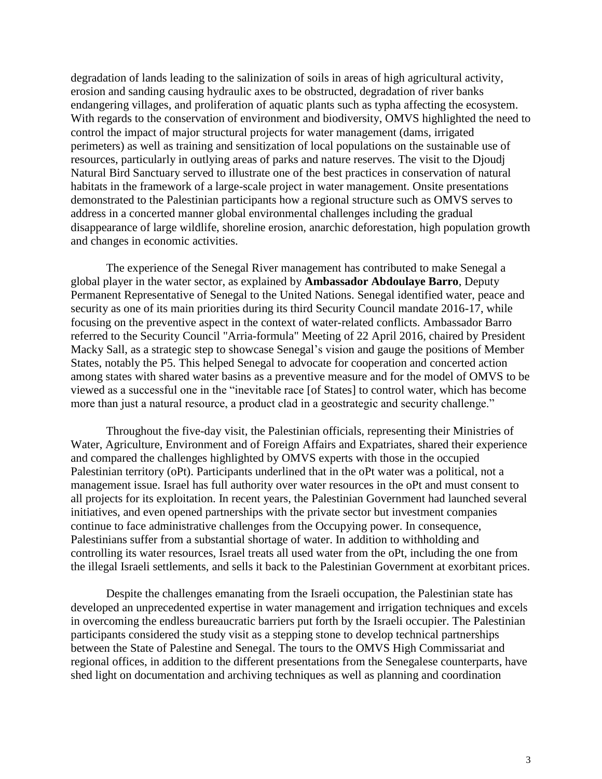degradation of lands leading to the salinization of soils in areas of high agricultural activity, erosion and sanding causing hydraulic axes to be obstructed, degradation of river banks endangering villages, and proliferation of aquatic plants such as typha affecting the ecosystem. With regards to the conservation of environment and biodiversity, OMVS highlighted the need to control the impact of major structural projects for water management (dams, irrigated perimeters) as well as training and sensitization of local populations on the sustainable use of resources, particularly in outlying areas of parks and nature reserves. The visit to the Djoudj Natural Bird Sanctuary served to illustrate one of the best practices in conservation of natural habitats in the framework of a large-scale project in water management. Onsite presentations demonstrated to the Palestinian participants how a regional structure such as OMVS serves to address in a concerted manner global environmental challenges including the gradual disappearance of large wildlife, shoreline erosion, anarchic deforestation, high population growth and changes in economic activities.

The experience of the Senegal River management has contributed to make Senegal a global player in the water sector, as explained by **Ambassador Abdoulaye Barro**, Deputy Permanent Representative of Senegal to the United Nations. Senegal identified water, peace and security as one of its main priorities during its third Security Council mandate 2016-17, while focusing on the preventive aspect in the context of water-related conflicts. Ambassador Barro referred to the Security Council "Arria-formula" Meeting of 22 April 2016, chaired by President Macky Sall, as a strategic step to showcase Senegal's vision and gauge the positions of Member States, notably the P5. This helped Senegal to advocate for cooperation and concerted action among states with shared water basins as a preventive measure and for the model of OMVS to be viewed as a successful one in the "inevitable race [of States] to control water, which has become more than just a natural resource, a product clad in a geostrategic and security challenge."

Throughout the five-day visit, the Palestinian officials, representing their Ministries of Water, Agriculture, Environment and of Foreign Affairs and Expatriates, shared their experience and compared the challenges highlighted by OMVS experts with those in the occupied Palestinian territory (oPt). Participants underlined that in the oPt water was a political, not a management issue. Israel has full authority over water resources in the oPt and must consent to all projects for its exploitation. In recent years, the Palestinian Government had launched several initiatives, and even opened partnerships with the private sector but investment companies continue to face administrative challenges from the Occupying power. In consequence, Palestinians suffer from a substantial shortage of water. In addition to withholding and controlling its water resources, Israel treats all used water from the oPt, including the one from the illegal Israeli settlements, and sells it back to the Palestinian Government at exorbitant prices.

Despite the challenges emanating from the Israeli occupation, the Palestinian state has developed an unprecedented expertise in water management and irrigation techniques and excels in overcoming the endless bureaucratic barriers put forth by the Israeli occupier. The Palestinian participants considered the study visit as a stepping stone to develop technical partnerships between the State of Palestine and Senegal. The tours to the OMVS High Commissariat and regional offices, in addition to the different presentations from the Senegalese counterparts, have shed light on documentation and archiving techniques as well as planning and coordination